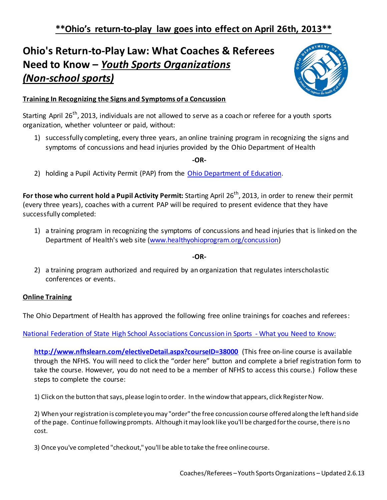# **Ohio's Return-to-Play Law: What Coaches & Referees Need to Know –** *Youth Sports Organizations (Non-school sports)*



## **Training In Recognizing the Signs and Symptoms of a Concussion**

Starting April 26<sup>th</sup>, 2013, individuals are not allowed to serve as a coach or referee for a youth sports organization, whether volunteer or paid, without:

1) successfully completing, every three years, an online training program in recognizing the signs and symptoms of concussions and head injuries provided by the Ohio Department of Health

#### **-OR-**

2) holding a Pupil Activity Permit (PAP) from the [Ohio Department of Education.](http://www.ode.state.oh.us/GD/Templates/Pages/ODE/ODEPrimary.aspx?page=2&TopicRelationID=1328)

**For those who current hold a Pupil Activity Permit:** Starting April 26<sup>th</sup>, 2013, in order to renew their permit (every three years), coaches with a current PAP will be required to present evidence that they have successfully completed:

1) a training program in recognizing the symptoms of concussions and head injuries that is linked on the Department of Health's web site [\(www.healthyohioprogram.org/concussion\)](http://www.healthyohioprogram.org/concussion)

### **-OR-**

2) a training program authorized and required by an organization that regulates interscholastic conferences or events.

### **Online Training**

The Ohio Department of Health has approved the following free online trainings for coaches and referees:

### [National Federation of State High School Associations Concussion in Sports -](http://www.nfhslearn.com/electiveDetail.aspx?courseID=38000) What you Need to Know:

**<http://www.nfhslearn.com/electiveDetail.aspx?courseID=38000>** (This free on-line course is available through the NFHS. You will need to click the "order here" button and complete a brief registration form to take the course. However, you do not need to be a member of NFHS to access this course.) Follow these steps to complete the course:

1) Click on the button that says, please login to order. In the window that appears, click Register Now.

2) When your registration is complete you may "order" the free concussion course offered along the left hand side of the page. Continue following prompts. Although it may look like you'll be charged for the course, there is no cost.

3) Once you've completed "checkout," you'll be able to take the free online course.